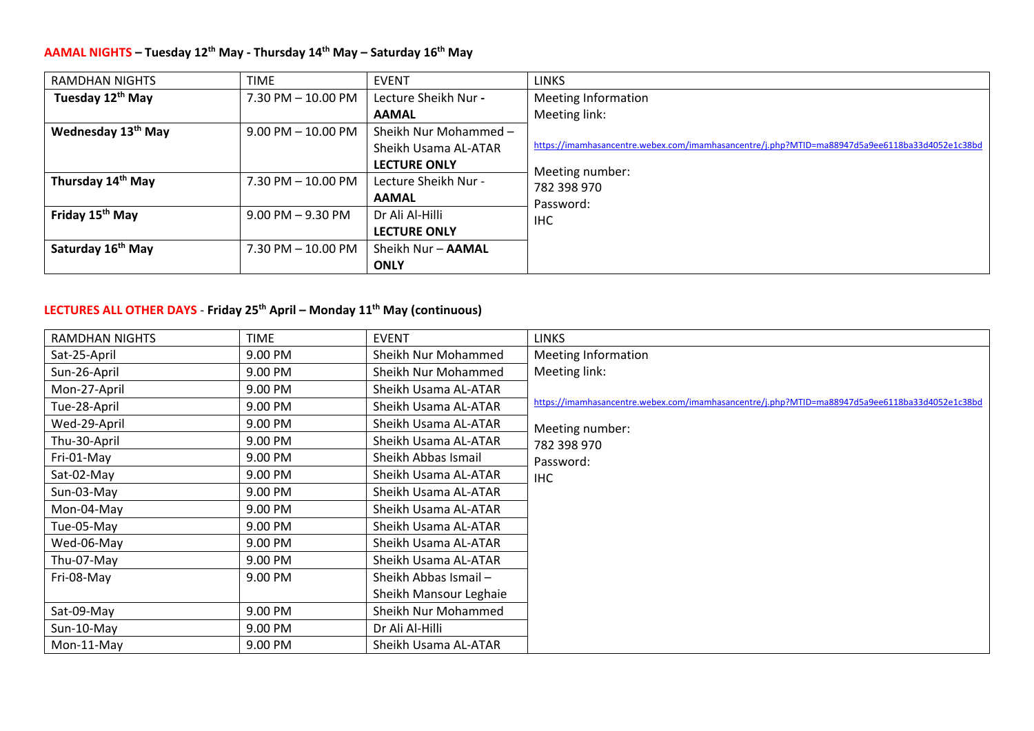#### **AAMAL NIGHTS – Tuesday <sup>12</sup>th May ‐ Thursday <sup>14</sup>th May – Saturday <sup>16</sup>th May**

| <b>RAMDHAN NIGHTS</b>          | <b>TIME</b>            | <b>EVENT</b>          | <b>LINKS</b>                                                                                   |
|--------------------------------|------------------------|-----------------------|------------------------------------------------------------------------------------------------|
| Tuesday 12 <sup>th</sup> May   | $7.30$ PM $- 10.00$ PM | Lecture Sheikh Nur -  | Meeting Information                                                                            |
|                                |                        | <b>AAMAL</b>          | Meeting link:                                                                                  |
| Wednesday 13 <sup>th</sup> May | $9.00$ PM $- 10.00$ PM | Sheikh Nur Mohammed - |                                                                                                |
|                                |                        | Sheikh Usama AL-ATAR  | https://imamhasancentre.webex.com/imamhasancentre/j.php?MTID=ma88947d5a9ee6118ba33d4052e1c38bd |
|                                |                        | <b>LECTURE ONLY</b>   | Meeting number:                                                                                |
| Thursday 14 <sup>th</sup> May  | $7.30$ PM $- 10.00$ PM | Lecture Sheikh Nur -  | 782 398 970                                                                                    |
|                                |                        | <b>AAMAL</b>          | Password:                                                                                      |
| Friday 15 <sup>th</sup> May    | $9.00$ PM $-9.30$ PM   | Dr Ali Al-Hilli       | <b>IHC</b>                                                                                     |
|                                |                        | <b>LECTURE ONLY</b>   |                                                                                                |
| Saturday 16 <sup>th</sup> May  | $7.30$ PM $- 10.00$ PM | Sheikh Nur - AAMAL    |                                                                                                |
|                                |                        | <b>ONLY</b>           |                                                                                                |

### **LECTURES ALL OTHER DAYS** ‐ **Friday <sup>25</sup>th April – Monday <sup>11</sup>th May (continuous)**

| <b>RAMDHAN NIGHTS</b> | <b>TIME</b> | <b>EVENT</b>           | <b>LINKS</b>                                                                                   |
|-----------------------|-------------|------------------------|------------------------------------------------------------------------------------------------|
| Sat-25-April          | 9.00 PM     | Sheikh Nur Mohammed    | <b>Meeting Information</b>                                                                     |
| Sun-26-April          | 9.00 PM     | Sheikh Nur Mohammed    | Meeting link:                                                                                  |
| Mon-27-April          | 9.00 PM     | Sheikh Usama AL-ATAR   |                                                                                                |
| Tue-28-April          | 9.00 PM     | Sheikh Usama AL-ATAR   | https://imamhasancentre.webex.com/imamhasancentre/j.php?MTID=ma88947d5a9ee6118ba33d4052e1c38bd |
| Wed-29-April          | 9.00 PM     | Sheikh Usama AL-ATAR   | Meeting number:                                                                                |
| Thu-30-April          | 9.00 PM     | Sheikh Usama AL-ATAR   | 782 398 970                                                                                    |
| Fri-01-May            | 9.00 PM     | Sheikh Abbas Ismail    | Password:                                                                                      |
| Sat-02-May            | 9.00 PM     | Sheikh Usama AL-ATAR   | <b>IHC</b>                                                                                     |
| Sun-03-May            | 9.00 PM     | Sheikh Usama AL-ATAR   |                                                                                                |
| Mon-04-May            | 9.00 PM     | Sheikh Usama AL-ATAR   |                                                                                                |
| Tue-05-May            | 9.00 PM     | Sheikh Usama AL-ATAR   |                                                                                                |
| Wed-06-May            | 9.00 PM     | Sheikh Usama AL-ATAR   |                                                                                                |
| Thu-07-May            | 9.00 PM     | Sheikh Usama AL-ATAR   |                                                                                                |
| Fri-08-May            | 9.00 PM     | Sheikh Abbas Ismail-   |                                                                                                |
|                       |             | Sheikh Mansour Leghaie |                                                                                                |
| Sat-09-May            | 9.00 PM     | Sheikh Nur Mohammed    |                                                                                                |
| Sun-10-May            | 9.00 PM     | Dr Ali Al-Hilli        |                                                                                                |
| Mon-11-May            | 9.00 PM     | Sheikh Usama AL-ATAR   |                                                                                                |